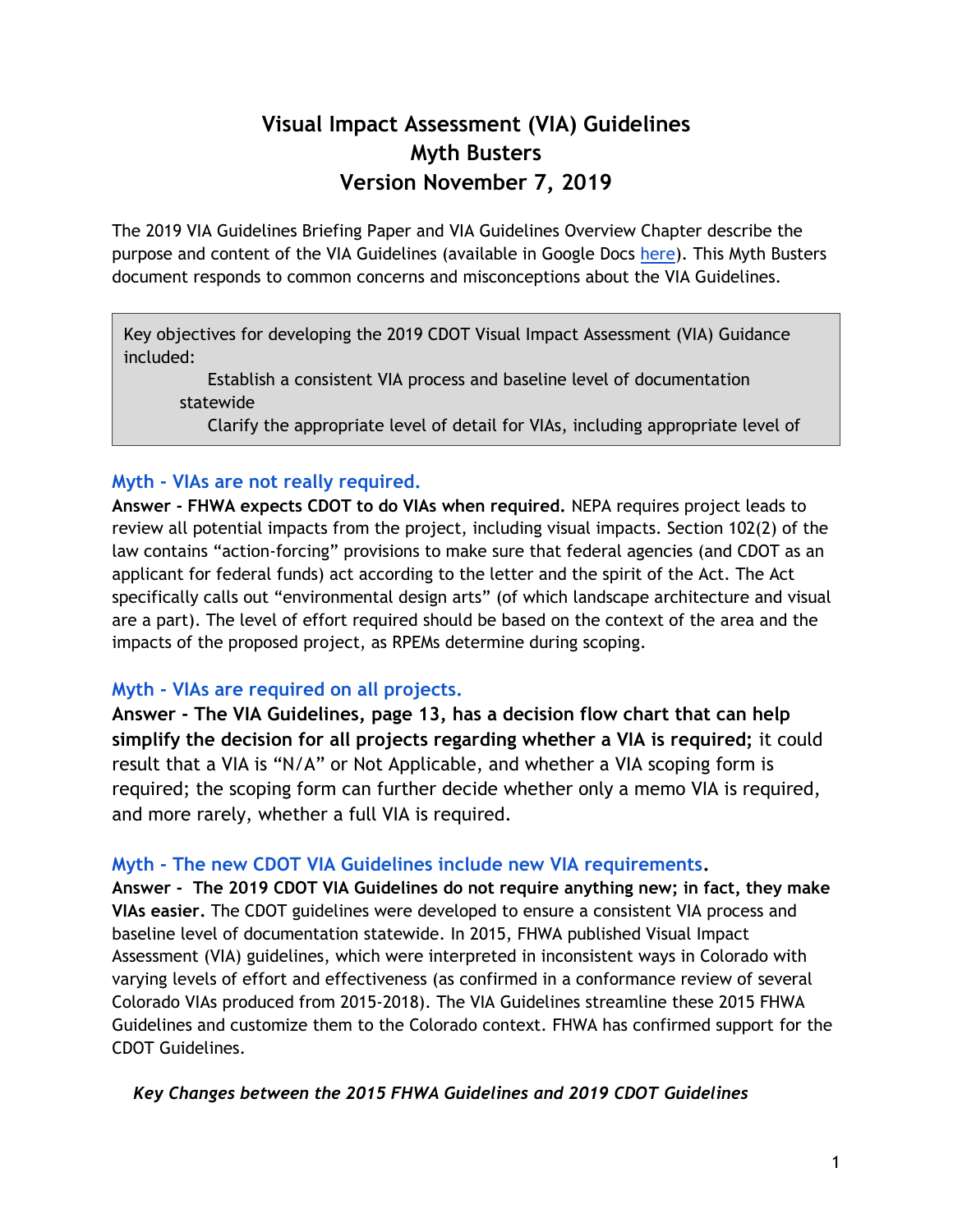## **Visual Impact Assessment (VIA) Guidelines Myth Busters Version November 7, 2019**

The 2019 VIA Guidelines Briefing Paper and VIA Guidelines Overview Chapter describe the purpose and content of the VIA Guidelines (available in Google Docs [here\)](https://drive.google.com/open?id=1aWTcOMARhRBlhW-EJQm4A3aeq8Qpynaj). This Myth Busters document responds to common concerns and misconceptions about the VIA Guidelines.

Key objectives for developing the 2019 CDOT Visual Impact Assessment (VIA) Guidance included:

Establish a consistent VIA process and baseline level of documentation statewide

Clarify the appropriate level of detail for VIAs, including appropriate level of

# Myth - VIAs are not really required.

effort and cost of the cost of the cost of the cost of the cost of the cost of the cost of the cost of the cos<br>The cost of the cost of the cost of the cost of the cost of the cost of the cost of the cost of the cost of th

**Answer - FHWA expects CDOT to do VIAs when required.** NEPA requires project leads to answer - FHWA expects CDOT to do VIAs when required. NEPA requires project leads to review all potential impacts from the project, including visual impacts. Section 102(2) of the law contains "action-forcing" provisions to make sure that federal agencies (and CDOT as an applicant for federal funds) act according to the letter and the spirit of the Act. The Act specifically calls out "environmental design arts" (of which landscape architecture and visual are a part). The level of effort required should be based on the context of the area and the impacts of the proposed project, as RPEMs determine during scoping.

## **Myth - VIAs are required on all projects.**

**Answer - The VIA Guidelines, page 13, has a decision flow chart that can help simplify the decision for all projects regarding whether a VIA is required;** it could result that a VIA is "N/A" or Not Applicable, and whether a VIA scoping form is required; the scoping form can further decide whether only a memo VIA is required, and more rarely, whether a full VIA is required.

## **Myth - The new CDOT VIA Guidelines include new VIA requirements.**

**Answer - The 2019 CDOT VIA Guidelines do not require anything new; in fact, they make VIAs easier.** The CDOT guidelines were developed to ensure a consistent VIA process and baseline level of documentation statewide. In 2015, FHWA published Visual Impact Assessment (VIA) guidelines, which were interpreted in inconsistent ways in Colorado with varying levels of effort and effectiveness (as confirmed in a conformance review of several Colorado VIAs produced from 2015-2018). The VIA Guidelines streamline these 2015 FHWA Guidelines and customize them to the Colorado context. FHWA has confirmed support for the CDOT Guidelines.

#### *Key Changes between the 2015 FHWA Guidelines and 2019 CDOT Guidelines*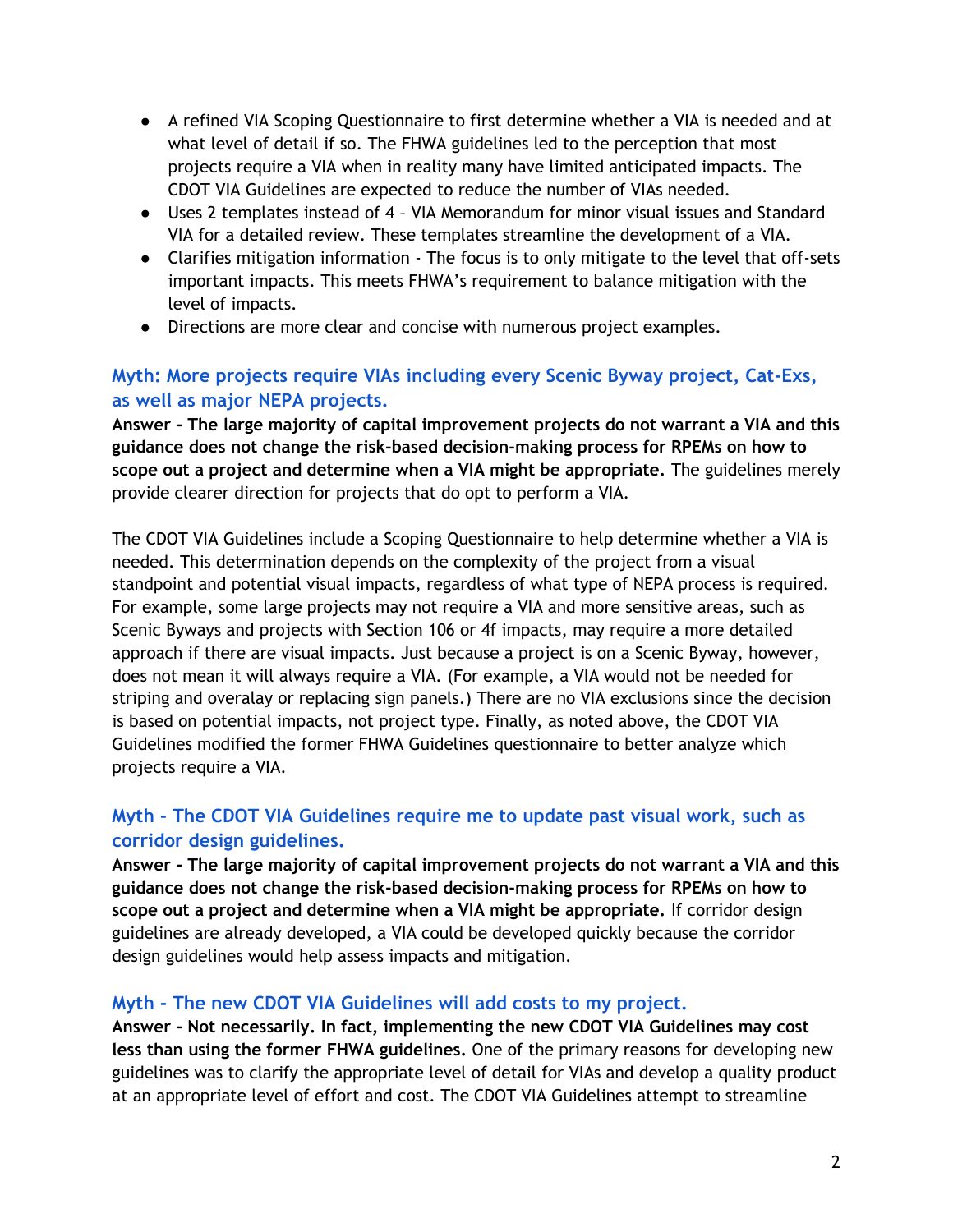- A refined VIA Scoping Questionnaire to first determine whether a VIA is needed and at what level of detail if so. The FHWA guidelines led to the perception that most projects require a VIA when in reality many have limited anticipated impacts. The CDOT VIA Guidelines are expected to reduce the number of VIAs needed.
- Uses 2 templates instead of 4 VIA Memorandum for minor visual issues and Standard VIA for a detailed review. These templates streamline the development of a VIA.
- Clarifies mitigation information The focus is to only mitigate to the level that off-sets important impacts. This meets FHWA's requirement to balance mitigation with the level of impacts.
- Directions are more clear and concise with numerous project examples.

## **Myth: More projects require VIAs including every Scenic Byway project, Cat-Exs, as well as major NEPA projects.**

**Answer - The large majority of capital improvement projects do not warrant a VIA and this guidance does not change the risk-based decision-making process for RPEMs on how to scope out a project and determine when a VIA might be appropriate.** The guidelines merely provide clearer direction for projects that do opt to perform a VIA.

The CDOT VIA Guidelines include a Scoping Questionnaire to help determine whether a VIA is needed. This determination depends on the complexity of the project from a visual standpoint and potential visual impacts, regardless of what type of NEPA process is required. For example, some large projects may not require a VIA and more sensitive areas, such as Scenic Byways and projects with Section 106 or 4f impacts, may require a more detailed approach if there are visual impacts. Just because a project is on a Scenic Byway, however, does not mean it will always require a VIA. (For example, a VIA would not be needed for striping and overalay or replacing sign panels.) There are no VIA exclusions since the decision is based on potential impacts, not project type. Finally, as noted above, the CDOT VIA Guidelines modified the former FHWA Guidelines questionnaire to better analyze which projects require a VIA.

## **Myth - The CDOT VIA Guidelines require me to update past visual work, such as corridor design guidelines.**

**Answer - The large majority of capital improvement projects do not warrant a VIA and this guidance does not change the risk-based decision-making process for RPEMs on how to scope out a project and determine when a VIA might be appropriate.** If corridor design guidelines are already developed, a VIA could be developed quickly because the corridor design guidelines would help assess impacts and mitigation.

## **Myth - The new CDOT VIA Guidelines will add costs to my project.**

**Answer - Not necessarily. In fact, implementing the new CDOT VIA Guidelines may cost less than using the former FHWA guidelines.** One of the primary reasons for developing new guidelines was to clarify the appropriate level of detail for VIAs and develop a quality product at an appropriate level of effort and cost. The CDOT VIA Guidelines attempt to streamline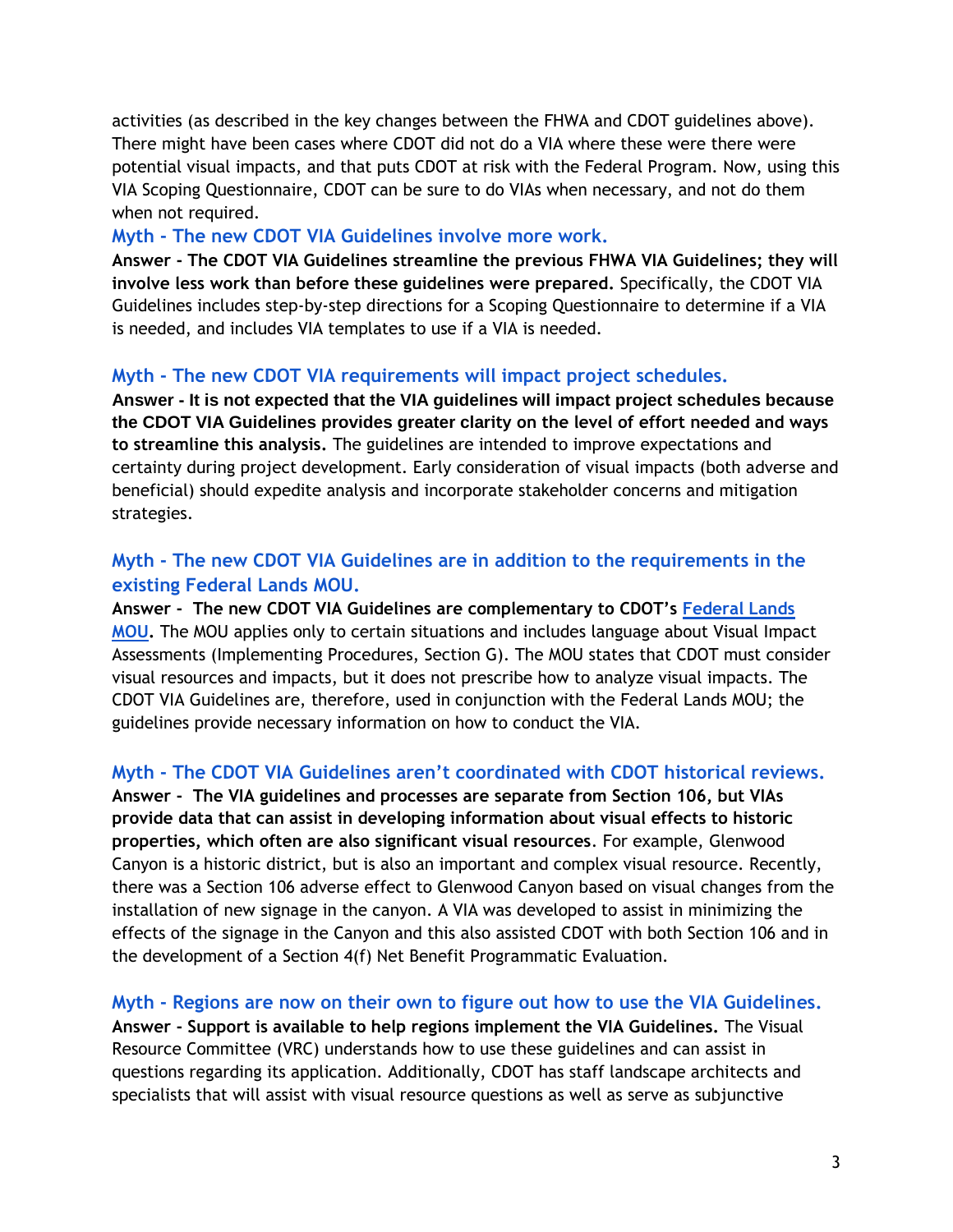activities (as described in the key changes between the FHWA and CDOT guidelines above). There might have been cases where CDOT did not do a VIA where these were there were potential visual impacts, and that puts CDOT at risk with the Federal Program. Now, using this VIA Scoping Questionnaire, CDOT can be sure to do VIAs when necessary, and not do them when not required.

#### **Myth - The new CDOT VIA Guidelines involve more work.**

**Answer - The CDOT VIA Guidelines streamline the previous FHWA VIA Guidelines; they will involve less work than before these guidelines were prepared.** Specifically, the CDOT VIA Guidelines includes step-by-step directions for a Scoping Questionnaire to determine if a VIA is needed, and includes VIA templates to use if a VIA is needed.

## **Myth - The new CDOT VIA requirements will impact project schedules.**

**Answer - It is not expected that the VIA guidelines will impact project schedules because the CDOT VIA Guidelines provides greater clarity on the level of effort needed and ways to streamline this analysis.** The guidelines are intended to improve expectations and certainty during project development. Early consideration of visual impacts (both adverse and beneficial) should expedite analysis and incorporate stakeholder concerns and mitigation strategies.

#### **Myth - The new CDOT VIA Guidelines are in addition to the requirements in the existing Federal Lands MOU.**

**Answer - The new CDOT VIA Guidelines are complementary to CDOT's [Federal Lands](https://www.codot.gov/programs/environmental/documents/federal-lands-mou-2016/view)  [MOU.](https://www.codot.gov/programs/environmental/documents/federal-lands-mou-2016/view)** The MOU applies only to certain situations and includes language about Visual Impact Assessments (Implementing Procedures, Section G). The MOU states that CDOT must consider visual resources and impacts, but it does not prescribe how to analyze visual impacts. The CDOT VIA Guidelines are, therefore, used in conjunction with the Federal Lands MOU; the guidelines provide necessary information on how to conduct the VIA.

#### **Myth - The CDOT VIA Guidelines aren't coordinated with CDOT historical reviews.**

**Answer - The VIA guidelines and processes are separate from Section 106, but VIAs provide data that can assist in developing information about visual effects to historic properties, which often are also significant visual resources**. For example, Glenwood Canyon is a historic district, but is also an important and complex visual resource. Recently, there was a Section 106 adverse effect to Glenwood Canyon based on visual changes from the installation of new signage in the canyon. A VIA was developed to assist in minimizing the effects of the signage in the Canyon and this also assisted CDOT with both Section 106 and in the development of a Section 4(f) Net Benefit Programmatic Evaluation.

**Myth - Regions are now on their own to figure out how to use the VIA Guidelines. Answer - Support is available to help regions implement the VIA Guidelines.** The Visual Resource Committee (VRC) understands how to use these guidelines and can assist in questions regarding its application. Additionally, CDOT has staff landscape architects and specialists that will assist with visual resource questions as well as serve as subjunctive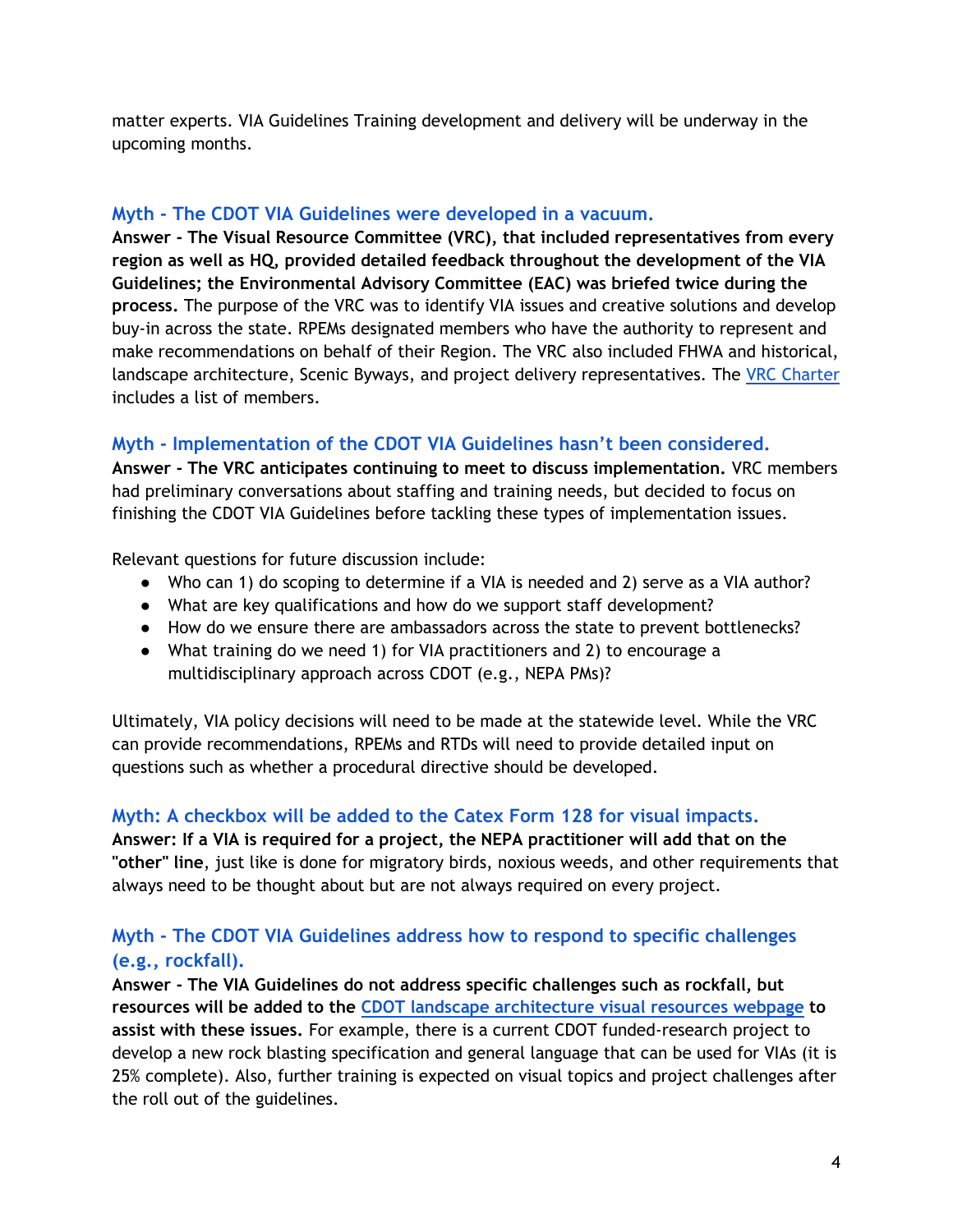matter experts. VIA Guidelines Training development and delivery will be underway in the upcoming months.

#### **Myth - The CDOT VIA Guidelines were developed in a vacuum.**

**Answer - The Visual Resource Committee (VRC), that included representatives from every region as well as HQ, provided detailed feedback throughout the development of the VIA Guidelines; the Environmental Advisory Committee (EAC) was briefed twice during the process.** The purpose of the VRC was to identify VIA issues and creative solutions and develop buy-in across the state. RPEMs designated members who have the authority to represent and make recommendations on behalf of their Region. The VRC also included FHWA and historical, landscape architecture, Scenic Byways, and project delivery representatives. The [VRC Charter](https://drive.google.com/open?id=1oxjUMhcO9BNyEmD3dJtsF5RzqH-pExR7) includes a list of members.

## **Myth - Implementation of the CDOT VIA Guidelines hasn't been considered.**

**Answer - The VRC anticipates continuing to meet to discuss implementation.** VRC members had preliminary conversations about staffing and training needs, but decided to focus on finishing the CDOT VIA Guidelines before tackling these types of implementation issues.

Relevant questions for future discussion include:

- Who can 1) do scoping to determine if a VIA is needed and 2) serve as a VIA author?
- What are key qualifications and how do we support staff development?
- How do we ensure there are ambassadors across the state to prevent bottlenecks?
- What training do we need 1) for VIA practitioners and 2) to encourage a multidisciplinary approach across CDOT (e.g., NEPA PMs)?

Ultimately, VIA policy decisions will need to be made at the statewide level. While the VRC can provide recommendations, RPEMs and RTDs will need to provide detailed input on questions such as whether a procedural directive should be developed.

## **Myth: A checkbox will be added to the Catex Form 128 for visual impacts.**

**Answer: If a VIA is required for a project, the NEPA practitioner will add that on the "other" line**, just like is done for migratory birds, noxious weeds, and other requirements that always need to be thought about but are not always required on every project.

## **Myth - The CDOT VIA Guidelines address how to respond to specific challenges (e.g., rockfall).**

**Answer - The VIA Guidelines do not address specific challenges such as rockfall, but resources will be added to the [CDOT landscape architecture visual resources webpage](https://www.codot.gov/programs/environmental/landscape-architecture/visual-resources) to assist with these issues.** For example, there is a current CDOT funded-research project to develop a new rock blasting specification and general language that can be used for VIAs (it is 25% complete). Also, further training is expected on visual topics and project challenges after the roll out of the guidelines.